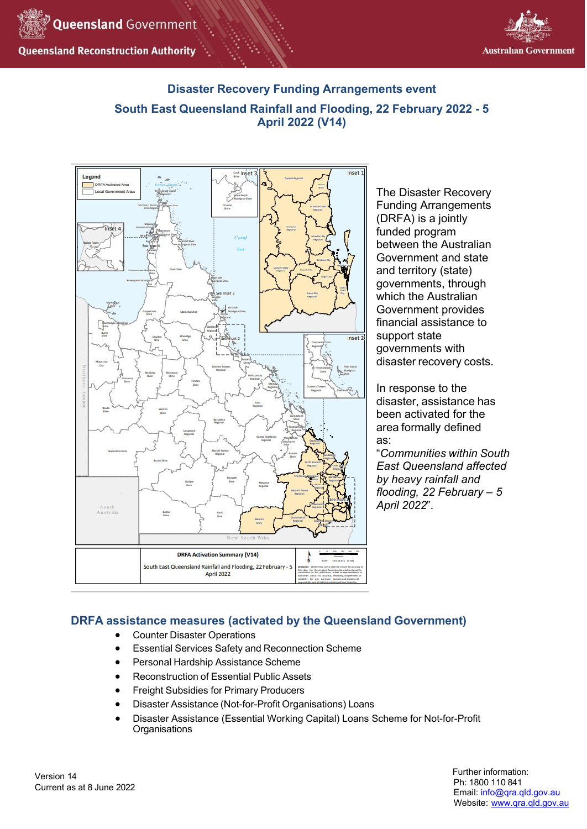



# **Disaster Recovery Funding Arrangements event South East Queensland Rainfall and Flooding, 22 February 2022 - 5 April 2022 (V14)**



The Disaster Recovery Funding Arrangements (DRFA) is a jointly funded program between the Australian Government and state and territory (state) governments, through which the Australian Government provides financial assistance to support state governments with disaster recovery costs.

In response to the disaster, assistance has been activated for the area formally defined as:

"*Communities within South East Queensland affected by heavy rainfall and flooding, 22 February – 5 April 2022*".

# **DRFA assistance measures (activated by the Queensland Government)**

- Counter Disaster Operations
- Essential Services Safety and Reconnection Scheme
- Personal Hardship Assistance Scheme
- Reconstruction of Essential Public Assets
- Freight Subsidies for Primary Producers
- Disaster Assistance (Not-for-Profit Organisations) Loans
- Disaster Assistance (Essential Working Capital) Loans Scheme for Not-for-Profit **Organisations**

Version 14 Current as at 8 June 2022 Further information: Ph: 1800 110 841 Email: [info@qra.qld.gov.au](mailto:info@qra.qld.gov.au) Website: [www.qra.qld.gov.au](http://www.qra.qld.gov.au/)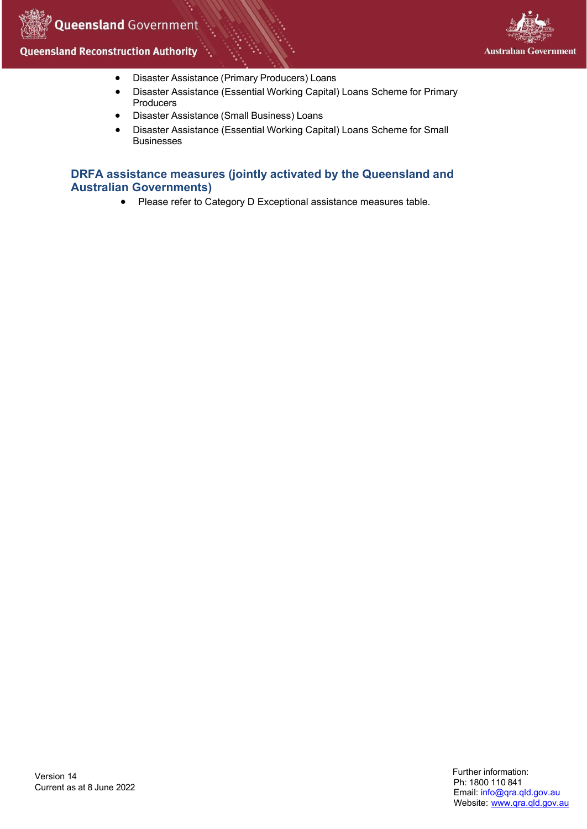

- Disaster Assistance (Primary Producers) Loans
- Disaster Assistance (Essential Working Capital) Loans Scheme for Primary Producers
- Disaster Assistance (Small Business) Loans
- Disaster Assistance (Essential Working Capital) Loans Scheme for Small Businesses

# **DRFA assistance measures (jointly activated by the Queensland and Australian Governments)**

• Please refer to Category D Exceptional assistance measures table.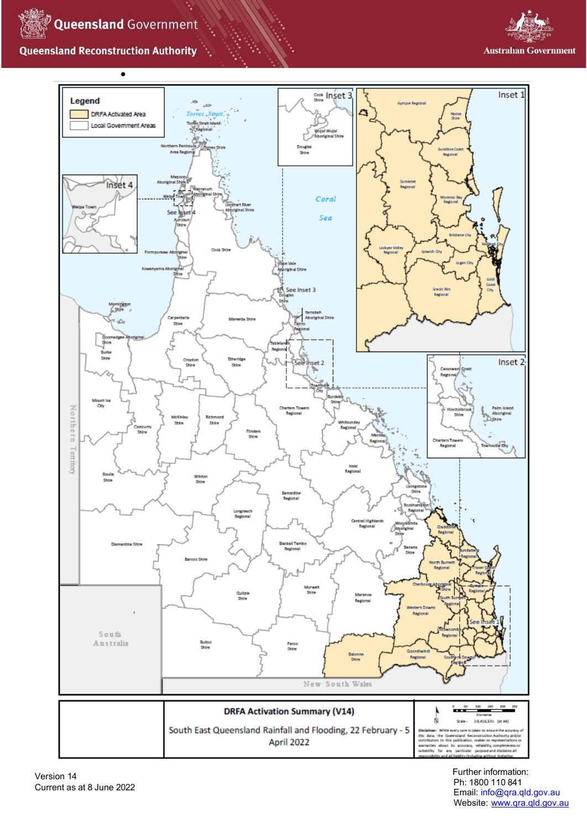





Further information: Ph: 1800 110 841 Email: [info@qra.qld.gov.au](mailto:info@qra.qld.gov.au) Website: [www.qra.qld.gov.au](http://www.qra.qld.gov.au/)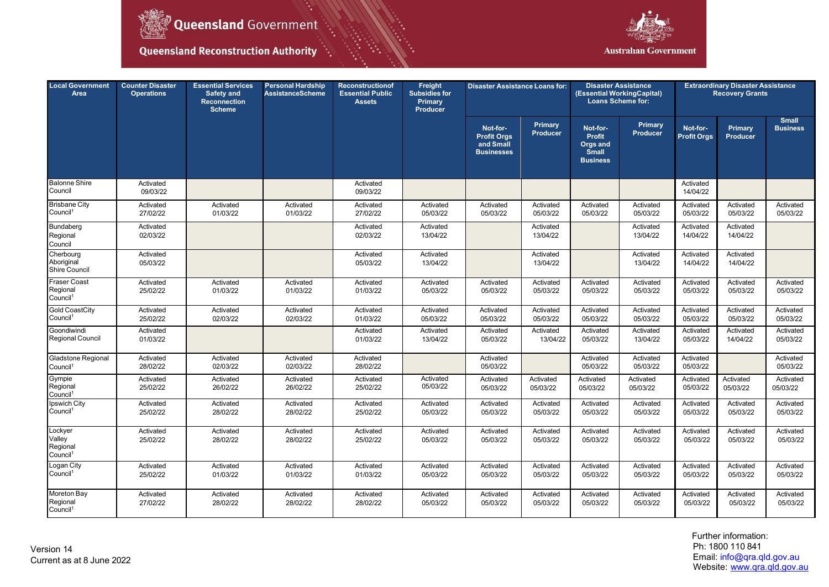

٠.



| <b>Local Government</b><br>Area                       | <b>Counter Disaster</b><br><b>Operations</b> | <b>Essential Services</b><br>Safety and<br><b>Reconnection</b><br><b>Scheme</b> | <b>Personal Hardship</b><br><b>AssistanceScheme</b> | <b>Reconstructionof</b><br><b>Essential Public</b><br><b>Assets</b> | Freight<br><b>Subsidies for</b><br>Primary<br>Producer | <b>Disaster Assistance Loans for:</b>                            |                                   | <b>Disaster Assistance</b><br>(Essential WorkingCapital)<br><b>Loans Scheme for:</b> |                       | <b>Extraordinary Disaster Assistance</b><br><b>Recovery Grants</b> |                            |                                 |
|-------------------------------------------------------|----------------------------------------------|---------------------------------------------------------------------------------|-----------------------------------------------------|---------------------------------------------------------------------|--------------------------------------------------------|------------------------------------------------------------------|-----------------------------------|--------------------------------------------------------------------------------------|-----------------------|--------------------------------------------------------------------|----------------------------|---------------------------------|
|                                                       |                                              |                                                                                 |                                                     |                                                                     |                                                        | Not-for-<br><b>Profit Orgs</b><br>and Small<br><b>Businesses</b> | <b>Primary</b><br><b>Producer</b> | Not-for-<br><b>Profit</b><br>Orgs and<br><b>Small</b><br><b>Business</b>             | Primary<br>Producer   | Not-for-<br><b>Profit Orgs</b>                                     | Primary<br><b>Producer</b> | <b>Small</b><br><b>Business</b> |
| <b>Balonne Shire</b><br>Council                       | Activated<br>09/03/22                        |                                                                                 |                                                     | Activated<br>09/03/22                                               |                                                        |                                                                  |                                   |                                                                                      |                       | Activated<br>14/04/22                                              |                            |                                 |
| <b>Brisbane City</b><br>Council <sup>1</sup>          | Activated<br>27/02/22                        | Activated<br>01/03/22                                                           | Activated<br>01/03/22                               | Activated<br>27/02/22                                               | Activated<br>05/03/22                                  | Activated<br>05/03/22                                            | Activated<br>05/03/22             | Activated<br>05/03/22                                                                | Activated<br>05/03/22 | Activated<br>05/03/22                                              | Activated<br>05/03/22      | Activated<br>05/03/22           |
| Bundaberg<br>Regional<br>Council                      | Activated<br>02/03/22                        |                                                                                 |                                                     | Activated<br>02/03/22                                               | Activated<br>13/04/22                                  |                                                                  | Activated<br>13/04/22             |                                                                                      | Activated<br>13/04/22 | Activated<br>14/04/22                                              | Activated<br>14/04/22      |                                 |
| Cherbourg<br>Aboriginal<br>Shire Council              | Activated<br>05/03/22                        |                                                                                 |                                                     | Activated<br>05/03/22                                               | Activated<br>13/04/22                                  |                                                                  | Activated<br>13/04/22             |                                                                                      | Activated<br>13/04/22 | Activated<br>14/04/22                                              | Activated<br>14/04/22      |                                 |
| Fraser Coast<br>Regional<br>Council <sup>1</sup>      | Activated<br>25/02/22                        | Activated<br>01/03/22                                                           | Activated<br>01/03/22                               | Activated<br>01/03/22                                               | Activated<br>05/03/22                                  | Activated<br>05/03/22                                            | Activated<br>05/03/22             | Activated<br>05/03/22                                                                | Activated<br>05/03/22 | Activated<br>05/03/22                                              | Activated<br>05/03/22      | Activated<br>05/03/22           |
| <b>Gold CoastCity</b><br>Council <sup>1</sup>         | Activated<br>25/02/22                        | Activated<br>02/03/22                                                           | Activated<br>02/03/22                               | Activated<br>01/03/22                                               | Activated<br>05/03/22                                  | Activated<br>05/03/22                                            | Activated<br>05/03/22             | Activated<br>05/03/22                                                                | Activated<br>05/03/22 | Activated<br>05/03/22                                              | Activated<br>05/03/22      | Activated<br>05/03/22           |
| Goondiwindi<br>Regional Council                       | Activated<br>01/03/22                        |                                                                                 |                                                     | Activated<br>01/03/22                                               | Activated<br>13/04/22                                  | Activated<br>05/03/22                                            | Activated<br>13/04/22             | Activated<br>05/03/22                                                                | Activated<br>13/04/22 | Activated<br>05/03/22                                              | Activated<br>14/04/22      | Activated<br>05/03/22           |
| Gladstone Regional<br>Council <sup>1</sup>            | Activated<br>28/02/22                        | Activated<br>02/03/22                                                           | Activated<br>02/03/22                               | Activated<br>28/02/22                                               |                                                        | Activated<br>05/03/22                                            |                                   | Activated<br>05/03/22                                                                | Activated<br>05/03/22 | Activated<br>05/03/22                                              |                            | Activated<br>05/03/22           |
| Gympie<br>Regional<br>Council <sup>1</sup>            | Activated<br>25/02/22                        | Activated<br>26/02/22                                                           | Activated<br>26/02/22                               | Activated<br>25/02/22                                               | Activated<br>05/03/22                                  | Activated<br>05/03/22                                            | Activated<br>05/03/22             | Activated<br>05/03/22                                                                | Activated<br>05/03/22 | Activated<br>05/03/22                                              | Activated<br>05/03/22      | Activated<br>05/03/22           |
| Ipswich City<br>Council <sup>1</sup>                  | Activated<br>25/02/22                        | Activated<br>28/02/22                                                           | Activated<br>28/02/22                               | Activated<br>25/02/22                                               | Activated<br>05/03/22                                  | Activated<br>05/03/22                                            | Activated<br>05/03/22             | Activated<br>05/03/22                                                                | Activated<br>05/03/22 | Activated<br>05/03/22                                              | Activated<br>05/03/22      | Activated<br>05/03/22           |
| Lockyer<br>Valley<br>Regional<br>Council <sup>1</sup> | Activated<br>25/02/22                        | Activated<br>28/02/22                                                           | Activated<br>28/02/22                               | Activated<br>25/02/22                                               | Activated<br>05/03/22                                  | Activated<br>05/03/22                                            | Activated<br>05/03/22             | Activated<br>05/03/22                                                                | Activated<br>05/03/22 | Activated<br>05/03/22                                              | Activated<br>05/03/22      | Activated<br>05/03/22           |
| Logan City<br>Council <sup>1</sup>                    | Activated<br>25/02/22                        | Activated<br>01/03/22                                                           | Activated<br>01/03/22                               | Activated<br>01/03/22                                               | Activated<br>05/03/22                                  | Activated<br>05/03/22                                            | Activated<br>05/03/22             | Activated<br>05/03/22                                                                | Activated<br>05/03/22 | Activated<br>05/03/22                                              | Activated<br>05/03/22      | Activated<br>05/03/22           |
| Moreton Bay<br>Regional<br>Council <sup>1</sup>       | Activated<br>27/02/22                        | Activated<br>28/02/22                                                           | Activated<br>28/02/22                               | Activated<br>28/02/22                                               | Activated<br>05/03/22                                  | Activated<br>05/03/22                                            | Activated<br>05/03/22             | Activated<br>05/03/22                                                                | Activated<br>05/03/22 | Activated<br>05/03/22                                              | Activated<br>05/03/22      | Activated<br>05/03/22           |

Further information: Ph: 1800 110 841 Email: [info@qra.qld.gov.au](mailto:info@qra.qld.gov.au) Website: <u>[www.qra.qld.gov.au](http://www.qra.qld.gov.au/)</u>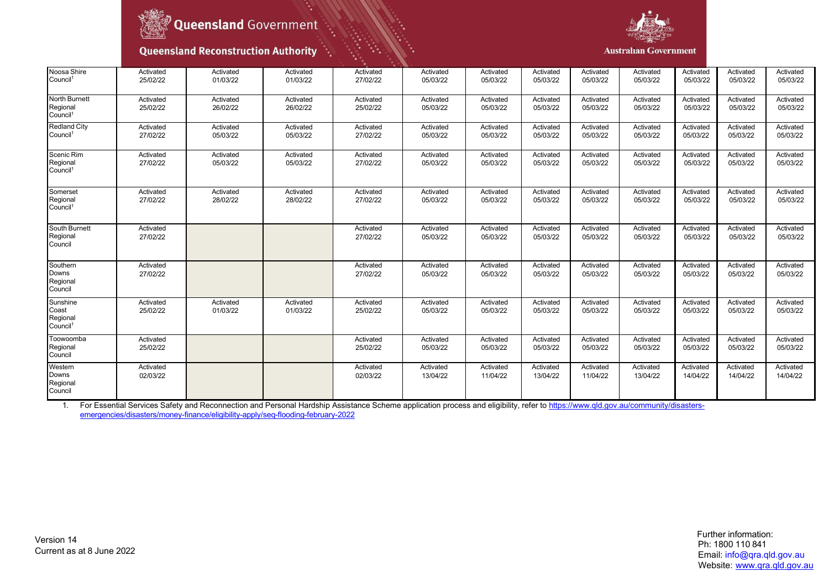



#### **Australian Government**

| Noosa Shire<br>Council <sup>1</sup>                   | Activated<br>25/02/22 | Activated<br>01/03/22 | Activated<br>01/03/22 | Activated<br>27/02/22 | Activated<br>05/03/22 | Activated<br>05/03/22 | Activated<br>05/03/22 | Activated<br>05/03/22 | Activated<br>05/03/22 | Activated<br>05/03/22 | Activated<br>05/03/22 | Activated<br>05/03/22 |
|-------------------------------------------------------|-----------------------|-----------------------|-----------------------|-----------------------|-----------------------|-----------------------|-----------------------|-----------------------|-----------------------|-----------------------|-----------------------|-----------------------|
| North Burnett<br>Regional<br>Council <sup>1</sup>     | Activated<br>25/02/22 | Activated<br>26/02/22 | Activated<br>26/02/22 | Activated<br>25/02/22 | Activated<br>05/03/22 | Activated<br>05/03/22 | Activated<br>05/03/22 | Activated<br>05/03/22 | Activated<br>05/03/22 | Activated<br>05/03/22 | Activated<br>05/03/22 | Activated<br>05/03/22 |
| <b>Redland City</b><br>Council <sup>1</sup>           | Activated<br>27/02/22 | Activated<br>05/03/22 | Activated<br>05/03/22 | Activated<br>27/02/22 | Activated<br>05/03/22 | Activated<br>05/03/22 | Activated<br>05/03/22 | Activated<br>05/03/22 | Activated<br>05/03/22 | Activated<br>05/03/22 | Activated<br>05/03/22 | Activated<br>05/03/22 |
| Scenic Rim<br>Regional<br>Council <sup>1</sup>        | Activated<br>27/02/22 | Activated<br>05/03/22 | Activated<br>05/03/22 | Activated<br>27/02/22 | Activated<br>05/03/22 | Activated<br>05/03/22 | Activated<br>05/03/22 | Activated<br>05/03/22 | Activated<br>05/03/22 | Activated<br>05/03/22 | Activated<br>05/03/22 | Activated<br>05/03/22 |
| Somerset<br>Regional<br>Council <sup>1</sup>          | Activated<br>27/02/22 | Activated<br>28/02/22 | Activated<br>28/02/22 | Activated<br>27/02/22 | Activated<br>05/03/22 | Activated<br>05/03/22 | Activated<br>05/03/22 | Activated<br>05/03/22 | Activated<br>05/03/22 | Activated<br>05/03/22 | Activated<br>05/03/22 | Activated<br>05/03/22 |
| South Burnett<br>Regional<br>Council                  | Activated<br>27/02/22 |                       |                       | Activated<br>27/02/22 | Activated<br>05/03/22 | Activated<br>05/03/22 | Activated<br>05/03/22 | Activated<br>05/03/22 | Activated<br>05/03/22 | Activated<br>05/03/22 | Activated<br>05/03/22 | Activated<br>05/03/22 |
| Southern<br>Downs<br>Regional<br>Council              | Activated<br>27/02/22 |                       |                       | Activated<br>27/02/22 | Activated<br>05/03/22 | Activated<br>05/03/22 | Activated<br>05/03/22 | Activated<br>05/03/22 | Activated<br>05/03/22 | Activated<br>05/03/22 | Activated<br>05/03/22 | Activated<br>05/03/22 |
| Sunshine<br>Coast<br>Regional<br>Council <sup>1</sup> | Activated<br>25/02/22 | Activated<br>01/03/22 | Activated<br>01/03/22 | Activated<br>25/02/22 | Activated<br>05/03/22 | Activated<br>05/03/22 | Activated<br>05/03/22 | Activated<br>05/03/22 | Activated<br>05/03/22 | Activated<br>05/03/22 | Activated<br>05/03/22 | Activated<br>05/03/22 |
| Toowoomba<br>Regional<br>Council                      | Activated<br>25/02/22 |                       |                       | Activated<br>25/02/22 | Activated<br>05/03/22 | Activated<br>05/03/22 | Activated<br>05/03/22 | Activated<br>05/03/22 | Activated<br>05/03/22 | Activated<br>05/03/22 | Activated<br>05/03/22 | Activated<br>05/03/22 |
| Western<br>Downs<br>Regional<br>Council               | Activated<br>02/03/22 |                       |                       | Activated<br>02/03/22 | Activated<br>13/04/22 | Activated<br>11/04/22 | Activated<br>13/04/22 | Activated<br>11/04/22 | Activated<br>13/04/22 | Activated<br>14/04/22 | Activated<br>14/04/22 | Activated<br>14/04/22 |

1. For Essential Services Safety and Reconnection and Personal Hardship Assistance Scheme application process and eligibility, refer to <u>https://www.qld.gov.au/community/disasters-</u> [emergencies/disasters/money-finance/eligibility-apply/seq-flooding-february-2022](https://www.qld.gov.au/community/disasters-emergencies/disasters/money-finance/eligibility-apply/seq-flooding-february-2022)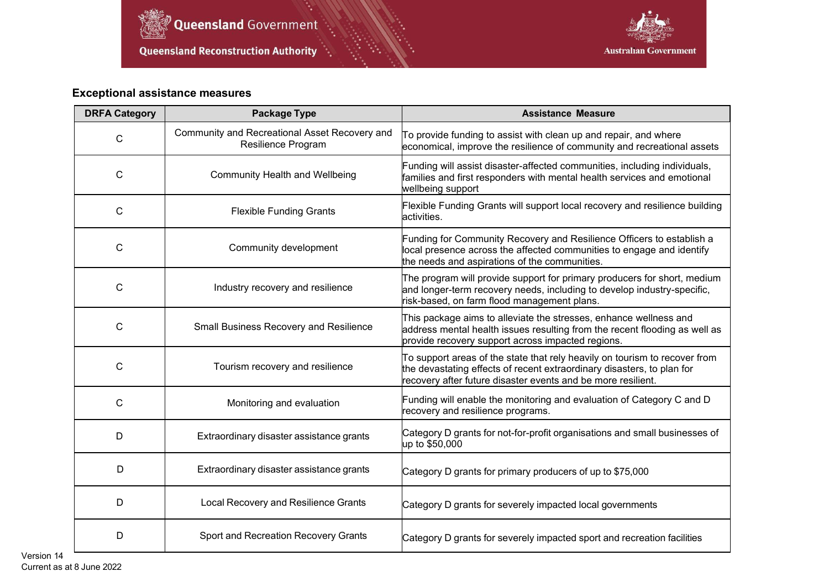

۰.



# **Exceptional assistance measures**

| <b>DRFA Category</b> | <b>Package Type</b>                                                        | <b>Assistance Measure</b>                                                                                                                                                                                                       |  |  |  |  |
|----------------------|----------------------------------------------------------------------------|---------------------------------------------------------------------------------------------------------------------------------------------------------------------------------------------------------------------------------|--|--|--|--|
| $\mathsf{C}$         | Community and Recreational Asset Recovery and<br><b>Resilience Program</b> | To provide funding to assist with clean up and repair, and where<br>economical, improve the resilience of community and recreational assets                                                                                     |  |  |  |  |
| C                    | <b>Community Health and Wellbeing</b>                                      | Funding will assist disaster-affected communities, including individuals,<br>families and first responders with mental health services and emotional<br>wellbeing support                                                       |  |  |  |  |
| C                    | <b>Flexible Funding Grants</b>                                             | Flexible Funding Grants will support local recovery and resilience building<br>activities.                                                                                                                                      |  |  |  |  |
| C                    | Community development                                                      | Funding for Community Recovery and Resilience Officers to establish a<br>local presence across the affected communities to engage and identify<br>the needs and aspirations of the communities.                                 |  |  |  |  |
| C                    | Industry recovery and resilience                                           | The program will provide support for primary producers for short, medium<br>and longer-term recovery needs, including to develop industry-specific,<br>risk-based, on farm flood management plans.                              |  |  |  |  |
| $\mathsf C$          | Small Business Recovery and Resilience                                     | This package aims to alleviate the stresses, enhance wellness and<br>address mental health issues resulting from the recent flooding as well as<br>provide recovery support across impacted regions.                            |  |  |  |  |
| C                    | Tourism recovery and resilience                                            | $\mathsf T$ o support areas of the state that rely heavily on tourism to recover from<br>the devastating effects of recent extraordinary disasters, to plan for<br>recovery after future disaster events and be more resilient. |  |  |  |  |
| C                    | Monitoring and evaluation                                                  | Funding will enable the monitoring and evaluation of Category C and D<br>recovery and resilience programs.                                                                                                                      |  |  |  |  |
| D                    | Extraordinary disaster assistance grants                                   | Category D grants for not-for-profit organisations and small businesses of<br>up to \$50,000                                                                                                                                    |  |  |  |  |
| D                    | Extraordinary disaster assistance grants                                   | Category D grants for primary producers of up to \$75,000                                                                                                                                                                       |  |  |  |  |
| D                    | Local Recovery and Resilience Grants                                       | Category D grants for severely impacted local governments                                                                                                                                                                       |  |  |  |  |
| D                    | Sport and Recreation Recovery Grants                                       | Category D grants for severely impacted sport and recreation facilities                                                                                                                                                         |  |  |  |  |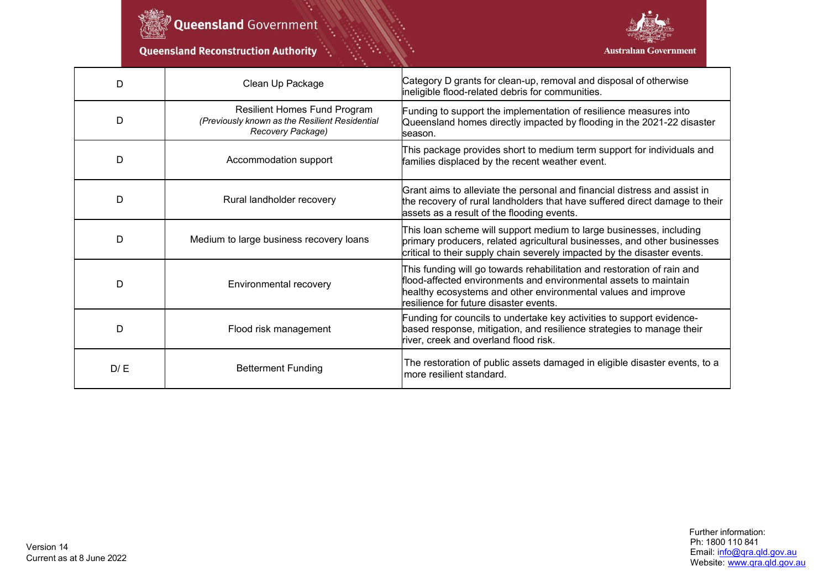

Oueensland Government

۰.

**Queensland Reconstruction Authority** 



| D   | Clean Up Package                                                                                    | Category D grants for clean-up, removal and disposal of otherwise<br>ineligible flood-related debris for communities.                                                                                                                                  |  |  |  |  |
|-----|-----------------------------------------------------------------------------------------------------|--------------------------------------------------------------------------------------------------------------------------------------------------------------------------------------------------------------------------------------------------------|--|--|--|--|
| D   | Resilient Homes Fund Program<br>(Previously known as the Resilient Residential<br>Recovery Package) | Funding to support the implementation of resilience measures into<br>Queensland homes directly impacted by flooding in the 2021-22 disaster<br>season.                                                                                                 |  |  |  |  |
| D   | Accommodation support                                                                               | This package provides short to medium term support for individuals and<br>families displaced by the recent weather event.                                                                                                                              |  |  |  |  |
| D   | Rural landholder recovery                                                                           | Grant aims to alleviate the personal and financial distress and assist in<br>the recovery of rural landholders that have suffered direct damage to their<br>assets as a result of the flooding events.                                                 |  |  |  |  |
| D   | Medium to large business recovery loans                                                             | This loan scheme will support medium to large businesses, including<br>primary producers, related agricultural businesses, and other businesses<br>critical to their supply chain severely impacted by the disaster events.                            |  |  |  |  |
| D   | Environmental recovery                                                                              | This funding will go towards rehabilitation and restoration of rain and<br>flood-affected environments and environmental assets to maintain<br>healthy ecosystems and other environmental values and improve<br>resilience for future disaster events. |  |  |  |  |
| D   | Flood risk management                                                                               | Funding for councils to undertake key activities to support evidence-<br>based response, mitigation, and resilience strategies to manage their<br>river, creek and overland flood risk.                                                                |  |  |  |  |
| D/E | <b>Betterment Funding</b>                                                                           | The restoration of public assets damaged in eligible disaster events, to a<br>more resilient standard.                                                                                                                                                 |  |  |  |  |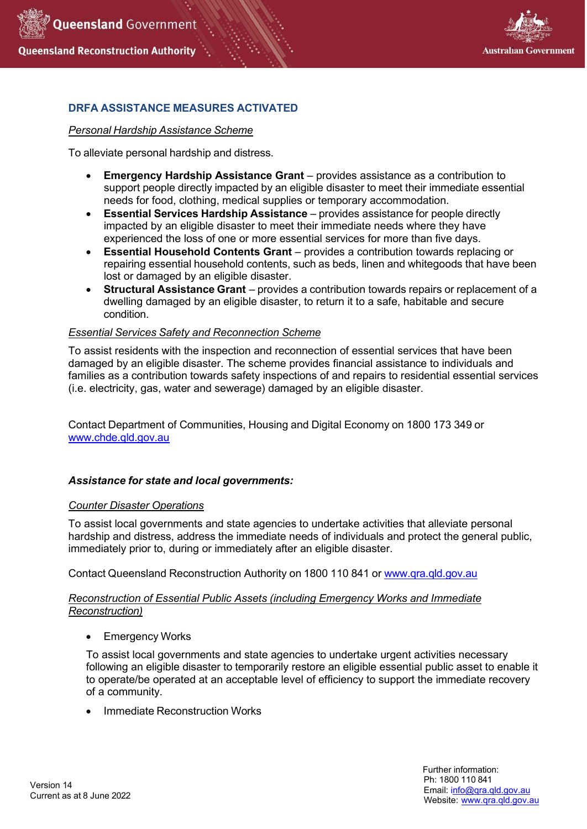



# **DRFA ASSISTANCE MEASURES ACTIVATED**

#### *Personal Hardship Assistance Scheme*

To alleviate personal hardship and distress.

- **Emergency Hardship Assistance Grant** provides assistance as a contribution to support people directly impacted by an eligible disaster to meet their immediate essential needs for food, clothing, medical supplies or temporary accommodation.
- **Essential Services Hardship Assistance** provides assistance for people directly impacted by an eligible disaster to meet their immediate needs where they have experienced the loss of one or more essential services for more than five days.
- **Essential Household Contents Grant** provides a contribution towards replacing or repairing essential household contents, such as beds, linen and whitegoods that have been lost or damaged by an eligible disaster.
- **Structural Assistance Grant**  provides a contribution towards repairs or replacement of a dwelling damaged by an eligible disaster, to return it to a safe, habitable and secure condition.

### *Essential Services Safety and Reconnection Scheme*

To assist residents with the inspection and reconnection of essential services that have been damaged by an eligible disaster. The scheme provides financial assistance to individuals and families as a contribution towards safety inspections of and repairs to residential essential services (i.e. electricity, gas, water and sewerage) damaged by an eligible disaster.

Contact Department of Communities, Housing and Digital Economy on 1800 173 349 or [www.chde.qld.gov.au](http://www.chde.qld.gov.au/)

### *Assistance for state and local governments:*

### *Counter Disaster Operations*

To assist local governments and state agencies to undertake activities that alleviate personal hardship and distress, address the immediate needs of individuals and protect the general public, immediately prior to, during or immediately after an eligible disaster.

Contact Queensland Reconstruction Authority on 1800 110 841 or [www.qra.qld.gov.au](http://www.qra.qld.gov.au/)

### *Reconstruction of Essential Public Assets (including Emergency Works and Immediate Reconstruction)*

• Emergency Works

To assist local governments and state agencies to undertake urgent activities necessary following an eligible disaster to temporarily restore an eligible essential public asset to enable it to operate/be operated at an acceptable level of efficiency to support the immediate recovery of a community.

• Immediate Reconstruction Works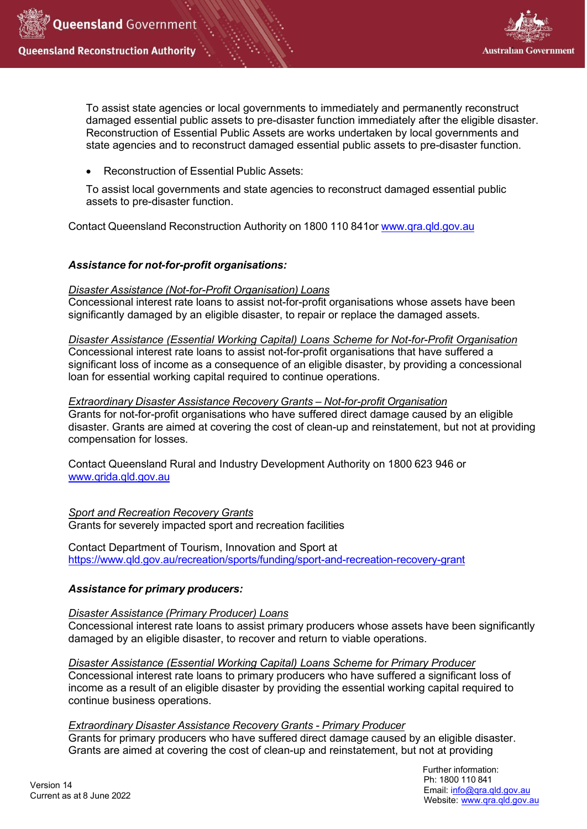



To assist state agencies or local governments to immediately and permanently reconstruct damaged essential public assets to pre-disaster function immediately after the eligible disaster. Reconstruction of Essential Public Assets are works undertaken by local governments and state agencies and to reconstruct damaged essential public assets to pre-disaster function.

• Reconstruction of Essential Public Assets:

To assist local governments and state agencies to reconstruct damaged essential public assets to pre-disaster function.

Contact Queensland Reconstruction Authority on 1800 110 841or [www.qra.qld.gov.au](http://www.qra.qld.gov.au/)

## *Assistance for not-for-profit organisations:*

### *Disaster Assistance (Not-for-Profit Organisation) Loans*

Concessional interest rate loans to assist not-for-profit organisations whose assets have been significantly damaged by an eligible disaster, to repair or replace the damaged assets.

### *Disaster Assistance (Essential Working Capital) Loans Scheme for Not-for-Profit Organisation*

Concessional interest rate loans to assist not-for-profit organisations that have suffered a significant loss of income as a consequence of an eligible disaster, by providing a concessional loan for essential working capital required to continue operations.

### *Extraordinary Disaster Assistance Recovery Grants – Not-for-profit Organisation*

Grants for not-for-profit organisations who have suffered direct damage caused by an eligible disaster. Grants are aimed at covering the cost of clean-up and reinstatement, but not at providing compensation for losses.

Contact Queensland Rural and Industry Development Authority on 1800 623 946 or [www.qrida.qld.gov.au](http://www.qrida.qld.gov.au/)

*Sport and Recreation Recovery Grants* Grants for severely impacted sport and recreation facilities

Contact Department of Tourism, Innovation and Sport at <https://www.qld.gov.au/recreation/sports/funding/sport-and-recreation-recovery-grant>

# *Assistance for primary producers:*

### *Disaster Assistance (Primary Producer) Loans*

Concessional interest rate loans to assist primary producers whose assets have been significantly damaged by an eligible disaster, to recover and return to viable operations.

*Disaster Assistance (Essential Working Capital) Loans Scheme for Primary Producer* Concessional interest rate loans to primary producers who have suffered a significant loss of income as a result of an eligible disaster by providing the essential working capital required to continue business operations.

### *Extraordinary Disaster Assistance Recovery Grants - Primary Producer*

Grants for primary producers who have suffered direct damage caused by an eligible disaster. Grants are aimed at covering the cost of clean-up and reinstatement, but not at providing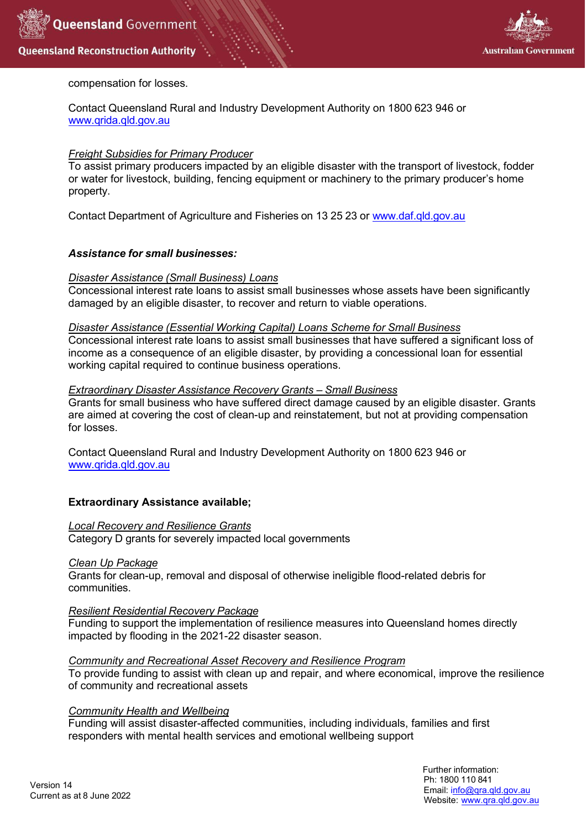



# compensation for losses.

Contact Queensland Rural and Industry Development Authority on 1800 623 946 or [www.qrida.qld.gov.au](http://www.qrida.qld.gov.au/)

## *Freight Subsidies for Primary Producer*

To assist primary producers impacted by an eligible disaster with the transport of livestock, fodder or water for livestock, building, fencing equipment or machinery to the primary producer's home property.

Contact Department of Agriculture and Fisheries on 13 25 23 or [www.daf.qld.gov.au](http://www.daf.qld.gov.au/)

## *Assistance for small businesses:*

### *Disaster Assistance (Small Business) Loans*

Concessional interest rate loans to assist small businesses whose assets have been significantly damaged by an eligible disaster, to recover and return to viable operations.

### *Disaster Assistance (Essential Working Capital) Loans Scheme for Small Business*

Concessional interest rate loans to assist small businesses that have suffered a significant loss of income as a consequence of an eligible disaster, by providing a concessional loan for essential working capital required to continue business operations.

### *Extraordinary Disaster Assistance Recovery Grants – Small Business*

Grants for small business who have suffered direct damage caused by an eligible disaster. Grants are aimed at covering the cost of clean-up and reinstatement, but not at providing compensation for losses.

Contact Queensland Rural and Industry Development Authority on 1800 623 946 or [www.qrida.qld.gov.au](http://www.qrida.qld.gov.au/)

### **Extraordinary Assistance available;**

#### *Local Recovery and Resilience Grants*

Category D grants for severely impacted local governments

### *Clean Up Package*

Grants for clean-up, removal and disposal of otherwise ineligible flood-related debris for communities.

### *Resilient Residential Recovery Package*

Funding to support the implementation of resilience measures into Queensland homes directly impacted by flooding in the 2021-22 disaster season.

### *Community and Recreational Asset Recovery and Resilience Program*

To provide funding to assist with clean up and repair, and where economical, improve the resilience of community and recreational assets

### *Community Health and Wellbeing*

Funding will assist disaster-affected communities, including individuals, families and first responders with mental health services and emotional wellbeing support